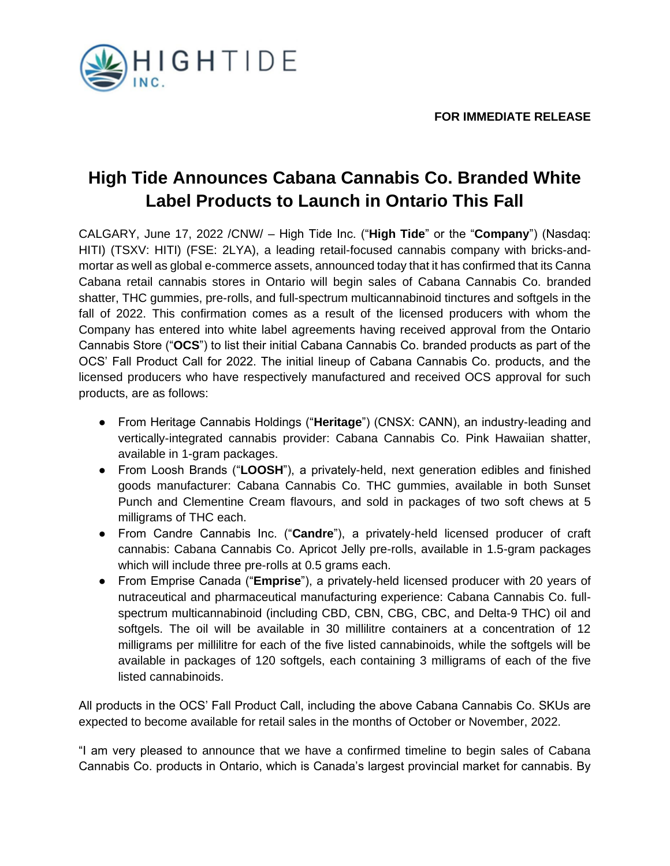

## **High Tide Announces Cabana Cannabis Co. Branded White Label Products to Launch in Ontario This Fall**

CALGARY, June 17, 2022 /CNW/ – High Tide Inc. ("**High Tide**" or the "**Company**") (Nasdaq: HITI) (TSXV: HITI) (FSE: 2LYA), a leading retail-focused cannabis company with bricks-andmortar as well as global e-commerce assets, announced today that it has confirmed that its Canna Cabana retail cannabis stores in Ontario will begin sales of Cabana Cannabis Co. branded shatter, THC gummies, pre-rolls, and full-spectrum multicannabinoid tinctures and softgels in the fall of 2022. This confirmation comes as a result of the licensed producers with whom the Company has entered into white label agreements having received approval from the Ontario Cannabis Store ("**OCS**") to list their initial Cabana Cannabis Co. branded products as part of the OCS' Fall Product Call for 2022. The initial lineup of Cabana Cannabis Co. products, and the licensed producers who have respectively manufactured and received OCS approval for such products, are as follows:

- From Heritage Cannabis Holdings ("**Heritage**") (CNSX: CANN), an industry-leading and vertically-integrated cannabis provider: Cabana Cannabis Co. Pink Hawaiian shatter, available in 1-gram packages.
- From Loosh Brands ("**LOOSH**"), a privately-held, next generation edibles and finished goods manufacturer: Cabana Cannabis Co. THC gummies, available in both Sunset Punch and Clementine Cream flavours, and sold in packages of two soft chews at 5 milligrams of THC each.
- From Candre Cannabis Inc. ("**Candre**"), a privately-held licensed producer of craft cannabis: Cabana Cannabis Co. Apricot Jelly pre-rolls, available in 1.5-gram packages which will include three pre-rolls at 0.5 grams each.
- From Emprise Canada ("**Emprise**"), a privately-held licensed producer with 20 years of nutraceutical and pharmaceutical manufacturing experience: Cabana Cannabis Co. fullspectrum multicannabinoid (including CBD, CBN, CBG, CBC, and Delta-9 THC) oil and softgels. The oil will be available in 30 millilitre containers at a concentration of 12 milligrams per millilitre for each of the five listed cannabinoids, while the softgels will be available in packages of 120 softgels, each containing 3 milligrams of each of the five listed cannabinoids.

All products in the OCS' Fall Product Call, including the above Cabana Cannabis Co. SKUs are expected to become available for retail sales in the months of October or November, 2022.

"I am very pleased to announce that we have a confirmed timeline to begin sales of Cabana Cannabis Co. products in Ontario, which is Canada's largest provincial market for cannabis. By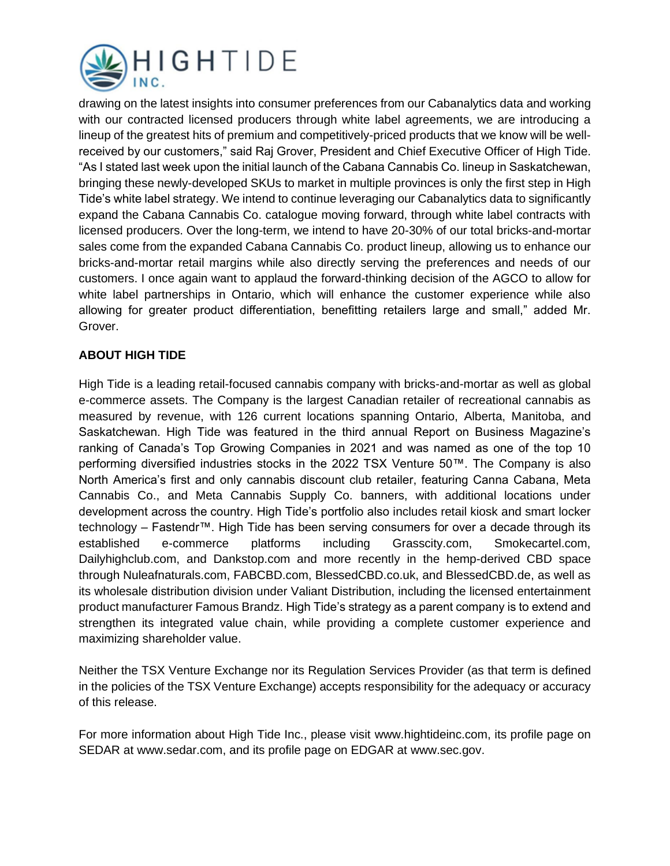

drawing on the latest insights into consumer preferences from our Cabanalytics data and working with our contracted licensed producers through white label agreements, we are introducing a lineup of the greatest hits of premium and competitively-priced products that we know will be wellreceived by our customers," said Raj Grover, President and Chief Executive Officer of High Tide. "As I stated last week upon the initial launch of the Cabana Cannabis Co. lineup in Saskatchewan, bringing these newly-developed SKUs to market in multiple provinces is only the first step in High Tide's white label strategy. We intend to continue leveraging our Cabanalytics data to significantly expand the Cabana Cannabis Co. catalogue moving forward, through white label contracts with licensed producers. Over the long-term, we intend to have 20-30% of our total bricks-and-mortar sales come from the expanded Cabana Cannabis Co. product lineup, allowing us to enhance our bricks-and-mortar retail margins while also directly serving the preferences and needs of our customers. I once again want to applaud the forward-thinking decision of the AGCO to allow for white label partnerships in Ontario, which will enhance the customer experience while also allowing for greater product differentiation, benefitting retailers large and small," added Mr. Grover.

## **ABOUT HIGH TIDE**

High Tide is a leading retail-focused cannabis company with bricks-and-mortar as well as global e-commerce assets. The Company is the largest Canadian retailer of recreational cannabis as measured by revenue, with 126 current locations spanning Ontario, Alberta, Manitoba, and Saskatchewan. High Tide was featured in the third annual Report on Business Magazine's ranking of Canada's Top Growing Companies in 2021 and was named as one of the top 10 performing diversified industries stocks in the 2022 TSX Venture 50™. The Company is also North America's first and only cannabis discount club retailer, featuring Canna Cabana, Meta Cannabis Co., and Meta Cannabis Supply Co. banners, with additional locations under development across the country. High Tide's portfolio also includes retail kiosk and smart locker technology – Fastendr™. High Tide has been serving consumers for over a decade through its established e-commerce platforms including Grasscity.com, Smokecartel.com, Dailyhighclub.com, and Dankstop.com and more recently in the hemp-derived CBD space through Nuleafnaturals.com, FABCBD.com, BlessedCBD.co.uk, and BlessedCBD.de, as well as its wholesale distribution division under Valiant Distribution, including the licensed entertainment product manufacturer Famous Brandz. High Tide's strategy as a parent company is to extend and strengthen its integrated value chain, while providing a complete customer experience and maximizing shareholder value.

Neither the TSX Venture Exchange nor its Regulation Services Provider (as that term is defined in the policies of the TSX Venture Exchange) accepts responsibility for the adequacy or accuracy of this release.

For more information about High Tide Inc., please visit [www.hightideinc.com,](https://www.hightideinc.com/) its profile page on SEDAR at [www.sedar.com,](http://www.sedar.com/) and its profile page on EDGAR at [www.sec.gov.](http://www.sec.gov/)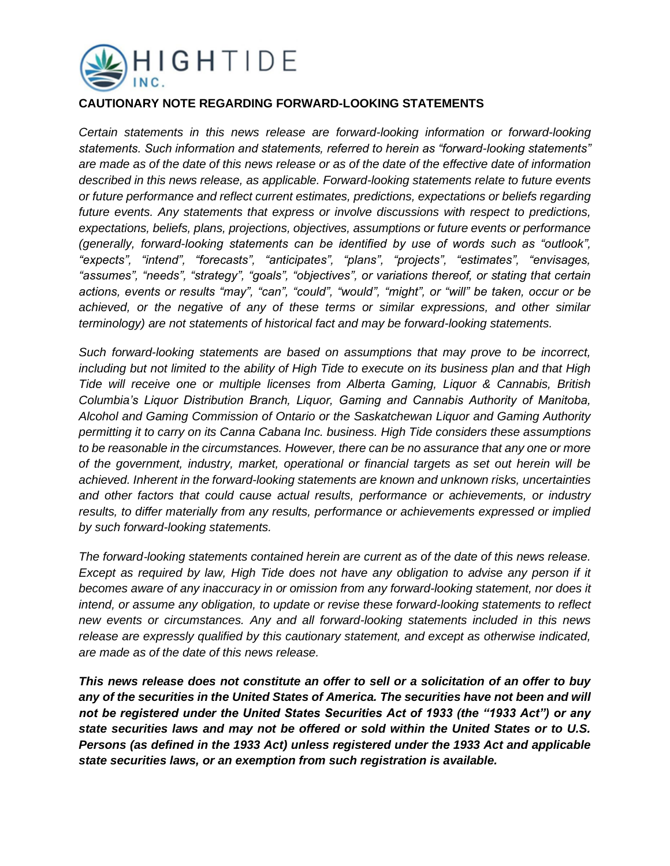

## **CAUTIONARY NOTE REGARDING FORWARD-LOOKING STATEMENTS**

*Certain statements in this news release are forward-looking information or forward-looking statements. Such information and statements, referred to herein as "forward-looking statements" are made as of the date of this news release or as of the date of the effective date of information described in this news release, as applicable. Forward-looking statements relate to future events or future performance and reflect current estimates, predictions, expectations or beliefs regarding future events. Any statements that express or involve discussions with respect to predictions, expectations, beliefs, plans, projections, objectives, assumptions or future events or performance (generally, forward-looking statements can be identified by use of words such as "outlook", "expects", "intend", "forecasts", "anticipates", "plans", "projects", "estimates", "envisages, "assumes", "needs", "strategy", "goals", "objectives", or variations thereof, or stating that certain actions, events or results "may", "can", "could", "would", "might", or "will" be taken, occur or be achieved, or the negative of any of these terms or similar expressions, and other similar terminology) are not statements of historical fact and may be forward-looking statements.*

*Such forward-looking statements are based on assumptions that may prove to be incorrect, including but not limited to the ability of High Tide to execute on its business plan and that High Tide will receive one or multiple licenses from Alberta Gaming, Liquor & Cannabis, British Columbia's Liquor Distribution Branch, Liquor, Gaming and Cannabis Authority of Manitoba, Alcohol and Gaming Commission of Ontario or the Saskatchewan Liquor and Gaming Authority permitting it to carry on its Canna Cabana Inc. business. High Tide considers these assumptions to be reasonable in the circumstances. However, there can be no assurance that any one or more of the government, industry, market, operational or financial targets as set out herein will be achieved. Inherent in the forward-looking statements are known and unknown risks, uncertainties and other factors that could cause actual results, performance or achievements, or industry results, to differ materially from any results, performance or achievements expressed or implied by such forward-looking statements.*

*The forward*‐*looking statements contained herein are current as of the date of this news release. Except as required by law, High Tide does not have any obligation to advise any person if it becomes aware of any inaccuracy in or omission from any forward-looking statement, nor does it intend, or assume any obligation, to update or revise these forward-looking statements to reflect new events or circumstances. Any and all forward-looking statements included in this news release are expressly qualified by this cautionary statement, and except as otherwise indicated, are made as of the date of this news release.*

*This news release does not constitute an offer to sell or a solicitation of an offer to buy any of the securities in the United States of America. The securities have not been and will not be registered under the United States Securities Act of 1933 (the "1933 Act") or any state securities laws and may not be offered or sold within the United States or to U.S. Persons (as defined in the 1933 Act) unless registered under the 1933 Act and applicable state securities laws, or an exemption from such registration is available.*